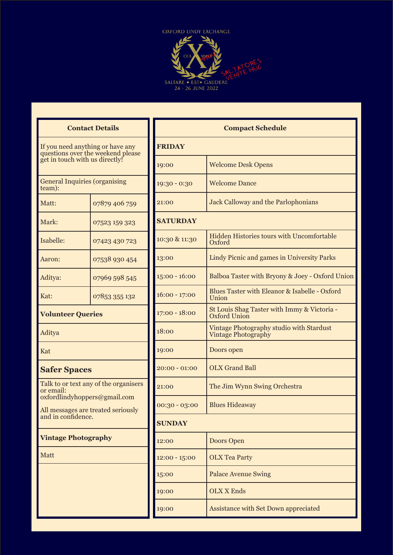

| <b>Contact Details</b> |  |  |
|------------------------|--|--|
|------------------------|--|--|

If you need anything or have any questions over the weekend please get in touch with us directly!

General Inquiries (organising team):

| Matt:     | 07879 406 759 |
|-----------|---------------|
| Mark:     | 07523 159 323 |
| Isabelle: | 07423 430 723 |
| Aaron:    | 07538 930 454 |
| Aditya:   | 07969 598 545 |
| Kat:      | 07853 355 132 |

#### **Volunteer Queries**

Aditya

Kat

#### **Safer Spaces**

Talk to or text any of the organisers or email: oxfordlindyhoppers@gmail.com

All messages are treated seriously and in confidence.

#### **Vintage Photography**

Matt

| <b>Compact Schedule</b> |                                                                        |
|-------------------------|------------------------------------------------------------------------|
| <b>FRIDAY</b>           |                                                                        |
| 19:00                   | <b>Welcome Desk Opens</b>                                              |
| 19:30 - 0:30            | <b>Welcome Dance</b>                                                   |
| 21:00                   | <b>Jack Calloway and the Parlophonians</b>                             |
| <b>SATURDAY</b>         |                                                                        |
| 10:30 & 11:30           | Hidden Histories tours with Uncomfortable<br>Oxford                    |
| 13:00                   | Lindy Picnic and games in University Parks                             |
| $15:00 - 16:00$         | Balboa Taster with Bryony & Joey - Oxford Union                        |
| $16:00 - 17:00$         | Blues Taster with Eleanor & Isabelle - Oxford<br>Union                 |
| $17:00 - 18:00$         | St Louis Shag Taster with Immy & Victoria -<br>Oxford Union            |
| 18:00                   | Vintage Photography studio with Stardust<br><b>Vintage Photography</b> |
| 19:00                   | Doors open                                                             |
| $20:00 - 01:00$         | <b>OLX Grand Ball</b>                                                  |
| 21:00                   | The Jim Wynn Swing Orchestra                                           |
| $00:30 - 03:00$         | <b>Blues Hideaway</b>                                                  |
| <b>SUNDAY</b>           |                                                                        |
| 12:00                   | <b>Doors Open</b>                                                      |
| $12:00 - 15:00$         | <b>OLX Tea Party</b>                                                   |
| 15:00                   | <b>Palace Avenue Swing</b>                                             |
| 19:00                   | <b>OLX X Ends</b>                                                      |
| 19:00                   | Assistance with Set Down appreciated                                   |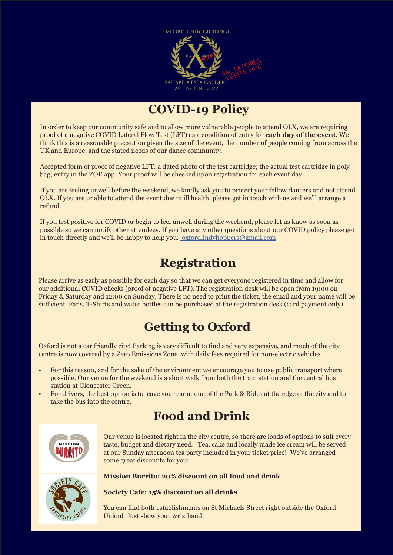

## **COVID-19 Policy**

In order to keep our community safe and to allow more vulnerable people to attend OLX, we are requiring proof of a negative COVID Lateral Flow Test (LFT) as a condition of entry for **each day of the event**. We think this is a reasonable precaution given the size of the event, the number of people coming from across the UK and Europe, and the stated needs of our dance community.

Accepted form of proof of negative LFT: a dated photo of the test cartridge; the actual test cartridge in poly bag; entry in the ZOE app. Your proof will be checked upon registration for each event day.

If you are feeling unwell before the weekend, we kindly ask you to protect your fellow dancers and not attend OLX. If you are unable to attend the event due to ill health, please get in touch with us and we'll arrange a refund.

If you test positive for COVID or begin to feel unwell during the weekend, please let us know as soon as possible so we can notify other attendees. If you have any other questions about our COVID policy please get in touch directly and we'll be happy to help you. [oxfordlindyhoppers@gmail.com](file:%20oxfordlindyhoppers%40gmail.com)

# **Registration**

Please arrive as early as possible for each day so that we can get everyone registered in time and allow for our additional COVID checks (proof of negative LFT). The registration desk will be open from 19:00 on Friday & Saturday and 12:00 on Sunday. There is no need to print the ticket, the email and your name will be sufficient. Fans, T-Shirts and water bottles can be purchased at the registration desk (card payment only).

# **Getting to Oxford**

Oxford is not a car friendly city! Parking is very difficult to find and very expensive, and much of the city centre is now covered by a Zero Emissions Zone, with daily fees required for non-electric vehicles.

- For this reason, and for the sake of the environment we encourage you to use public transport where possible. Our venue for the weekend is a short walk from both the train station and the central bus station at Gloucester Green.
- For drivers, the best option is to leave your car at one of the Park & Rides at the edge of the city and to take the bus into the centre.

# **Food and Drink**



Our venue is located right in the city centre, so there are loads of options to suit every taste, budget and dietary need. Tea, cake and locally made ice cream will be served at our Sunday afternoon tea party included in your ticket price! We've arranged some great discounts for you:



#### **Mission Burrito: 20% discount on all food and drink**

#### **Society Cafe: 15% discount on all drinks**

You can find both establishments on St Michaels Street right outside the Oxford Union! Just show your wristband!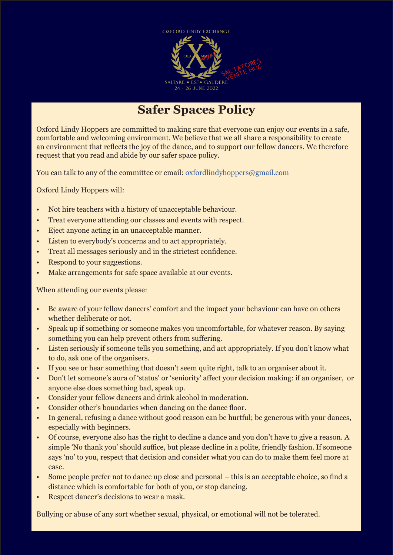

## **Safer Spaces Policy**

Oxford Lindy Hoppers are committed to making sure that everyone can enjoy our events in a safe, comfortable and welcoming environment. We believe that we all share a responsibility to create an environment that reflects the joy of the dance, and to support our fellow dancers. We therefore request that you read and abide by our safer space policy.

You can talk to any of the committee or email: [oxfordlindyhoppers@gmail.com](mailto:oxfordlindyhoppers%40gmail.com?subject=)

Oxford Lindy Hoppers will:

- Not hire teachers with a history of unacceptable behaviour.
- Treat everyone attending our classes and events with respect.
- Eject anyone acting in an unacceptable manner.
- Listen to everybody's concerns and to act appropriately.
- Treat all messages seriously and in the strictest confidence.
- Respond to your suggestions.
- Make arrangements for safe space available at our events.

When attending our events please:

- Be aware of your fellow dancers' comfort and the impact your behaviour can have on others whether deliberate or not.
- Speak up if something or someone makes you uncomfortable, for whatever reason. By saying something you can help prevent others from suffering.
- Listen seriously if someone tells you something, and act appropriately. If you don't know what to do, ask one of the organisers.
- If you see or hear something that doesn't seem quite right, talk to an organiser about it.
- Don't let someone's aura of 'status' or 'seniority' affect your decision making: if an organiser, or anyone else does something bad, speak up.
- Consider your fellow dancers and drink alcohol in moderation.
- Consider other's boundaries when dancing on the dance floor.
- In general, refusing a dance without good reason can be hurtful; be generous with your dances, especially with beginners.
- Of course, everyone also has the right to decline a dance and you don't have to give a reason. A simple 'No thank you' should suffice, but please decline in a polite, friendly fashion. If someone says 'no' to you, respect that decision and consider what you can do to make them feel more at ease.
- Some people prefer not to dance up close and personal this is an acceptable choice, so find a distance which is comfortable for both of you, or stop dancing.
- Respect dancer's decisions to wear a mask.

Bullying or abuse of any sort whether sexual, physical, or emotional will not be tolerated.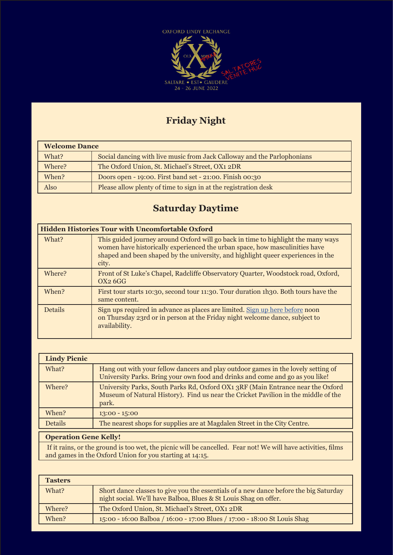

### **Friday Night**

| <b>Welcome Dance</b> |                                                                         |
|----------------------|-------------------------------------------------------------------------|
| What?                | Social dancing with live music from Jack Calloway and the Parlophonians |
| Where?               | The Oxford Union, St. Michael's Street, OX1 2DR                         |
| When?                | Doors open - 19:00. First band set - 21:00. Finish 00:30                |
| Also                 | Please allow plenty of time to sign in at the registration desk         |

### **Saturday Daytime**

|                | <b>Hidden Histories Tour with Uncomfortable Oxford</b>                                                                                                                                                                                                        |
|----------------|---------------------------------------------------------------------------------------------------------------------------------------------------------------------------------------------------------------------------------------------------------------|
| What?          | This guided journey around Oxford will go back in time to highlight the many ways<br>women have historically experienced the urban space, how masculinities have<br>shaped and been shaped by the university, and highlight queer experiences in the<br>city. |
| Where?         | Front of St Luke's Chapel, Radcliffe Observatory Quarter, Woodstock road, Oxford,<br>OX <sub>2</sub> 6GG                                                                                                                                                      |
| When?          | First tour starts 10:30, second tour 11:30. Tour duration 1h30. Both tours have the<br>same content.                                                                                                                                                          |
| <b>Details</b> | Sign ups required in advance as places are limited. Sign up here before noon<br>on Thursday 23rd or in person at the Friday night welcome dance, subject to<br>availability.                                                                                  |

| <b>Lindy Picnic</b> |                                                                                                                                                                                |
|---------------------|--------------------------------------------------------------------------------------------------------------------------------------------------------------------------------|
| What?               | Hang out with your fellow dancers and play outdoor games in the lovely setting of<br>University Parks. Bring your own food and drinks and come and go as you like!             |
| Where?              | University Parks, South Parks Rd, Oxford OX1 3RF (Main Entrance near the Oxford<br>Museum of Natural History). Find us near the Cricket Pavilion in the middle of the<br>park. |
| When?               | $13:00 - 15:00$                                                                                                                                                                |
| <b>Details</b>      | The nearest shops for supplies are at Magdalen Street in the City Centre.                                                                                                      |
|                     |                                                                                                                                                                                |

#### **Operation Gene Kelly!**

 If it rains, or the ground is too wet, the picnic will be cancelled. Fear not! We will have activities, films and games in the Oxford Union for you starting at 14:15.

| <b>Tasters</b> |                                                                                                                                                           |
|----------------|-----------------------------------------------------------------------------------------------------------------------------------------------------------|
| What?          | Short dance classes to give you the essentials of a new dance before the big Saturday<br>night social. We'll have Balboa, Blues & St Louis Shag on offer. |
| Where?         | The Oxford Union, St. Michael's Street, OX1 2DR                                                                                                           |
| When?          | 15:00 - 16:00 Balboa / 16:00 - 17:00 Blues / 17:00 - 18:00 St Louis Shag                                                                                  |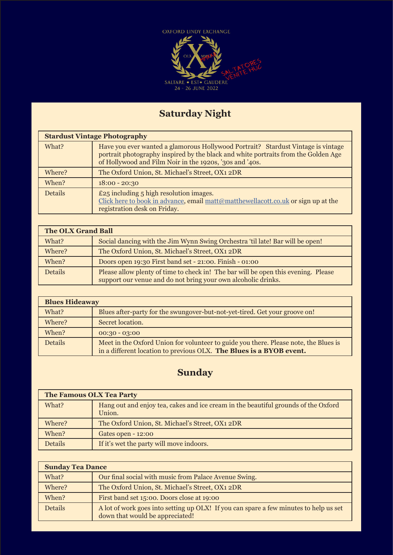

## **Saturday Night**

|                | <b>Stardust Vintage Photography</b>                                                                                                                                                                                               |  |  |
|----------------|-----------------------------------------------------------------------------------------------------------------------------------------------------------------------------------------------------------------------------------|--|--|
| What?          | Have you ever wanted a glamorous Hollywood Portrait? Stardust Vintage is vintage<br>portrait photography inspired by the black and white portraits from the Golden Age<br>of Hollywood and Film Noir in the 1920s, '30s and '40s. |  |  |
| Where?         | The Oxford Union, St. Michael's Street, OX1 2DR                                                                                                                                                                                   |  |  |
| When?          | $18:00 - 20:30$                                                                                                                                                                                                                   |  |  |
| <b>Details</b> | $£25$ including $5$ high resolution images.<br>Click here to book in advance, email matt@matthewellacott.co.uk or sign up at the<br>registration desk on Friday.                                                                  |  |  |

| <b>The OLX Grand Ball</b> |                                                                                                                                                     |  |
|---------------------------|-----------------------------------------------------------------------------------------------------------------------------------------------------|--|
| What?                     | Social dancing with the Jim Wynn Swing Orchestra 'til late! Bar will be open!                                                                       |  |
| Where?                    | The Oxford Union, St. Michael's Street, OX1 2DR                                                                                                     |  |
| When?                     | Doors open 19:30 First band set - 21:00. Finish - 01:00                                                                                             |  |
| <b>Details</b>            | Please allow plenty of time to check in! The bar will be open this evening. Please<br>support our venue and do not bring your own alcoholic drinks. |  |

| <b>Blues Hideaway</b> |                                                                                                                                                             |
|-----------------------|-------------------------------------------------------------------------------------------------------------------------------------------------------------|
| What?                 | Blues after-party for the swungover-but-not-yet-tired. Get your groove on!                                                                                  |
| Where?                | Secret location.                                                                                                                                            |
| When?                 | $00:30 - 03:00$                                                                                                                                             |
| <b>Details</b>        | Meet in the Oxford Union for volunteer to guide you there. Please note, the Blues is<br>in a different location to previous OLX. The Blues is a BYOB event. |

### **Sunday**

| <b>The Famous OLX Tea Party</b> |                                                                                              |  |
|---------------------------------|----------------------------------------------------------------------------------------------|--|
| What?                           | Hang out and enjoy tea, cakes and ice cream in the beautiful grounds of the Oxford<br>Union. |  |
| Where?                          | The Oxford Union, St. Michael's Street, OX1 2DR                                              |  |
| When?                           | Gates open - 12:00                                                                           |  |
| <b>Details</b>                  | If it's wet the party will move indoors.                                                     |  |

| <b>Sunday Tea Dance</b> |                                                                                                                          |
|-------------------------|--------------------------------------------------------------------------------------------------------------------------|
| What?                   | Our final social with music from Palace Avenue Swing.                                                                    |
| Where?                  | The Oxford Union, St. Michael's Street, OX1 2DR                                                                          |
| When?                   | First band set 15:00. Doors close at 19:00                                                                               |
| <b>Details</b>          | A lot of work goes into setting up OLX! If you can spare a few minutes to help us set<br>down that would be appreciated! |